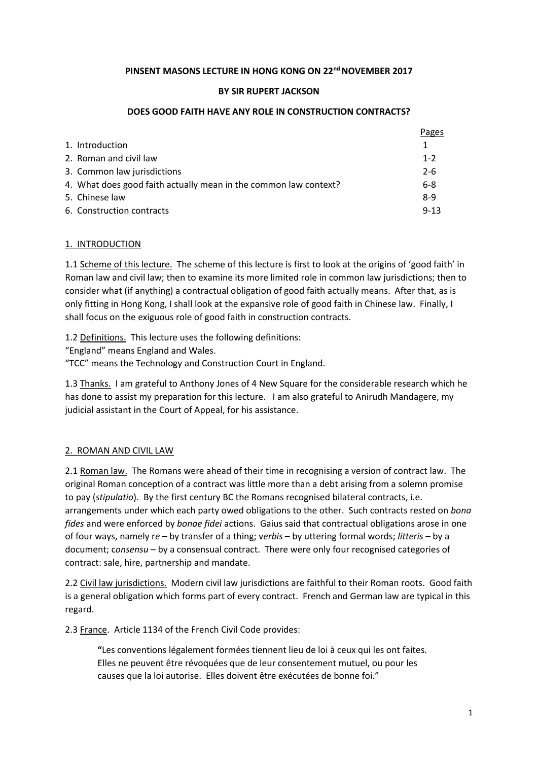### **PINSENT MASONS LECTURE IN HONG KONG ON 22nd NOVEMBER 2017**

### **BY SIR RUPERT JACKSON**

#### **DOES GOOD FAITH HAVE ANY ROLE IN CONSTRUCTION CONTRACTS?**

|                                                                  | Pages    |
|------------------------------------------------------------------|----------|
| 1. Introduction                                                  |          |
| 2. Roman and civil law                                           | $1 - 2$  |
| 3. Common law jurisdictions                                      | $2 - 6$  |
| 4. What does good faith actually mean in the common law context? | $6 - 8$  |
| 5. Chinese law                                                   | $8-9$    |
| 6. Construction contracts                                        | $9 - 13$ |

### 1. INTRODUCTION

1.1 Scheme of this lecture. The scheme of this lecture is first to look at the origins of 'good faith' in Roman law and civil law; then to examine its more limited role in common law jurisdictions; then to consider what (if anything) a contractual obligation of good faith actually means. After that, as is only fitting in Hong Kong, I shall look at the expansive role of good faith in Chinese law. Finally, I shall focus on the exiguous role of good faith in construction contracts.

1.2 Definitions. This lecture uses the following definitions:

"England" means England and Wales.

"TCC" means the Technology and Construction Court in England.

1.3 Thanks. I am grateful to Anthony Jones of 4 New Square for the considerable research which he has done to assist my preparation for this lecture. I am also grateful to Anirudh Mandagere, my judicial assistant in the Court of Appeal, for his assistance.

## 2. ROMAN AND CIVIL LAW

2.1 Roman law. The Romans were ahead of their time in recognising a version of contract law. The original Roman conception of a contract was little more than a debt arising from a solemn promise to pay (*stipulatio*). By the first century BC the Romans recognised bilateral contracts, i.e. arrangements under which each party owed obligations to the other. Such contracts rested on *bona fides* and were enforced by *bonae fidei* actions. Gaius said that contractual obligations arose in one of four ways, namely r*e* – by transfer of a thing; v*erbis* – by uttering formal words; *litteris* – by a document; c*onsensu* – by a consensual contract. There were only four recognised categories of contract: sale, hire, partnership and mandate.

2.2 Civil law jurisdictions. Modern civil law jurisdictions are faithful to their Roman roots. Good faith is a general obligation which forms part of every contract. French and German law are typical in this regard.

2.3 France. Article 1134 of the French Civil Code provides:

**"**Les conventions légalement formées tiennent lieu de loi à ceux qui les ont faites. Elles ne peuvent être révoquées que de leur consentement mutuel, ou pour les causes que la loi autorise. Elles doivent être exécutées de bonne foi."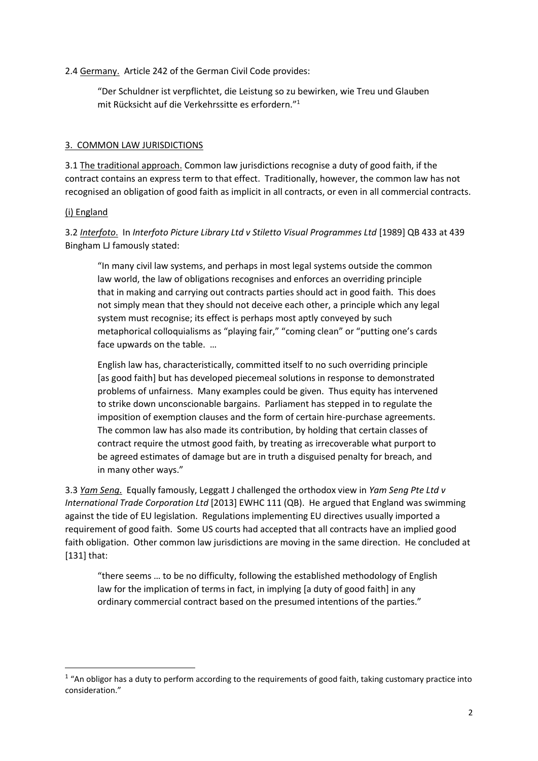### 2.4 Germany. Article 242 of the German Civil Code provides:

"Der Schuldner ist verpflichtet, die Leistung so zu bewirken, wie Treu und Glauben mit Rücksicht auf die Verkehrssitte es erfordern."<sup>1</sup>

### 3. COMMON LAW JURISDICTIONS

3.1 The traditional approach. Common law jurisdictions recognise a duty of good faith, if the contract contains an express term to that effect. Traditionally, however, the common law has not recognised an obligation of good faith as implicit in all contracts, or even in all commercial contracts.

#### (i) England

**.** 

3.2 *Interfoto*. In *Interfoto Picture Library Ltd v Stiletto Visual Programmes Ltd* [1989] QB 433 at 439 Bingham LJ famously stated:

"In many civil law systems, and perhaps in most legal systems outside the common law world, the law of obligations recognises and enforces an overriding principle that in making and carrying out contracts parties should act in good faith. This does not simply mean that they should not deceive each other, a principle which any legal system must recognise; its effect is perhaps most aptly conveyed by such metaphorical colloquialisms as "playing fair," "coming clean" or "putting one's cards face upwards on the table. …

English law has, characteristically, committed itself to no such overriding principle [as good faith] but has developed piecemeal solutions in response to demonstrated problems of unfairness. Many examples could be given. Thus equity has intervened to strike down unconscionable bargains. Parliament has stepped in to regulate the imposition of exemption clauses and the form of certain hire-purchase agreements. The common law has also made its contribution, by holding that certain classes of contract require the utmost good faith, by treating as irrecoverable what purport to be agreed estimates of damage but are in truth a disguised penalty for breach, and in many other ways."

3.3 *Yam Seng*. Equally famously, Leggatt J challenged the orthodox view in *Yam Seng Pte Ltd v International Trade Corporation Ltd* [2013] EWHC 111 (QB). He argued that England was swimming against the tide of EU legislation. Regulations implementing EU directives usually imported a requirement of good faith. Some US courts had accepted that all contracts have an implied good faith obligation. Other common law jurisdictions are moving in the same direction. He concluded at [131] that:

"there seems … to be no difficulty, following the established methodology of English law for the implication of terms in fact, in implying [a duty of good faith] in any ordinary commercial contract based on the presumed intentions of the parties."

 $1$  "An obligor has a duty to perform according to the requirements of good faith, taking customary practice into consideration."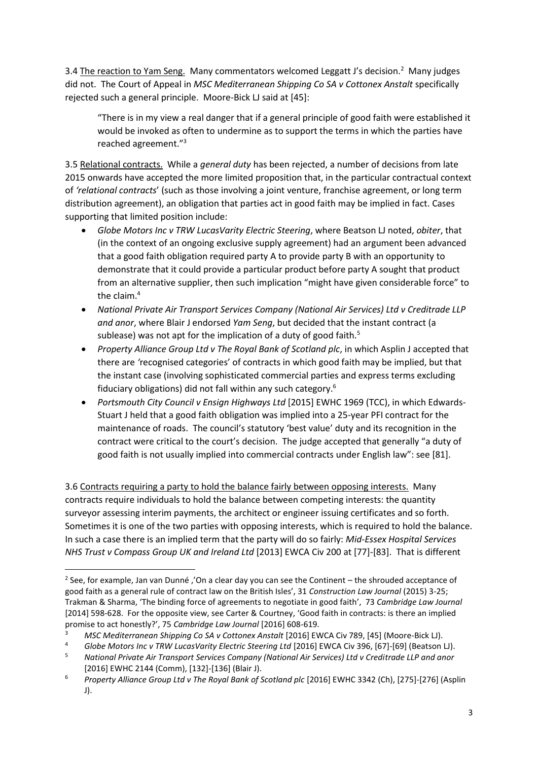3.4 The reaction to Yam Seng. Many commentators welcomed Leggatt J's decision.<sup>2</sup> Many judges did not. The Court of Appeal in *MSC Mediterranean Shipping Co SA v Cottonex Anstalt* specifically rejected such a general principle. Moore-Bick LJ said at [45]:

"There is in my view a real danger that if a general principle of good faith were established it would be invoked as often to undermine as to support the terms in which the parties have reached agreement."<sup>3</sup>

3.5 Relational contracts. While a *general duty* has been rejected, a number of decisions from late 2015 onwards have accepted the more limited proposition that, in the particular contractual context of *'relational contracts*' (such as those involving a joint venture, franchise agreement, or long term distribution agreement), an obligation that parties act in good faith may be implied in fact. Cases supporting that limited position include:

- *Globe Motors Inc v TRW LucasVarity Electric Steering*, where Beatson LJ noted, *obiter*, that (in the context of an ongoing exclusive supply agreement) had an argument been advanced that a good faith obligation required party A to provide party B with an opportunity to demonstrate that it could provide a particular product before party A sought that product from an alternative supplier, then such implication "might have given considerable force" to the claim.<sup>4</sup>
- *National Private Air Transport Services Company (National Air Services) Ltd v Creditrade LLP and anor*, where Blair J endorsed *Yam Seng*, but decided that the instant contract (a sublease) was not apt for the implication of a duty of good faith.<sup>5</sup>
- *Property Alliance Group Ltd v The Royal Bank of Scotland plc*, in which Asplin J accepted that there are *'*recognised categories' of contracts in which good faith may be implied, but that the instant case (involving sophisticated commercial parties and express terms excluding fiduciary obligations) did not fall within any such category.<sup>6</sup>
- *Portsmouth City Council v Ensign Highways Ltd* [2015] EWHC 1969 (TCC), in which Edwards-Stuart J held that a good faith obligation was implied into a 25-year PFI contract for the maintenance of roads. The council's statutory 'best value' duty and its recognition in the contract were critical to the court's decision. The judge accepted that generally "a duty of good faith is not usually implied into commercial contracts under English law": see [81].

3.6 Contracts requiring a party to hold the balance fairly between opposing interests. Many contracts require individuals to hold the balance between competing interests: the quantity surveyor assessing interim payments, the architect or engineer issuing certificates and so forth. Sometimes it is one of the two parties with opposing interests, which is required to hold the balance. In such a case there is an implied term that the party will do so fairly: *Mid-Essex Hospital Services NHS Trust v Compass Group UK and Ireland Ltd* [2013] EWCA Civ 200 at [77]-[83]. That is different

**.** 

<sup>&</sup>lt;sup>2</sup> See, for example, Jan van Dunné ,'On a clear day you can see the Continent – the shrouded acceptance of good faith as a general rule of contract law on the British Isles', 31 *Construction Law Journal* (2015) 3-25; Trakman & Sharma, 'The binding force of agreements to negotiate in good faith', 73 *Cambridge Law Journal* [2014] 598-628. For the opposite view, see Carter & Courtney, 'Good faith in contracts: is there an implied promise to act honestly?', 75 *Cambridge Law Journal* [2016] 608-619.

<sup>&</sup>lt;sup>3</sup> MSC Mediterranean Shipping Co SA v Cottonex Anstalt [2016] EWCA Civ 789, [45] (Moore-Bick LJ).<br><sup>4</sup> Globe Motors Inc v TRW LucasVarity Electric Steering Ltd [2016] EWCA Civ 396, [67]-[69] (Beatson I

<sup>4</sup> *Globe Motors Inc v TRW LucasVarity Electric Steering Ltd* [2016] EWCA Civ 396, [67]-[69] (Beatson LJ). <sup>5</sup> *National Private Air Transport Services Company (National Air Services) Ltd v Creditrade LLP and anor* [2016] EWHC 2144 (Comm), [132]-[136] (Blair J).

<sup>6</sup> *Property Alliance Group Ltd v The Royal Bank of Scotland plc* [2016] EWHC 3342 (Ch), [275]-[276] (Asplin J).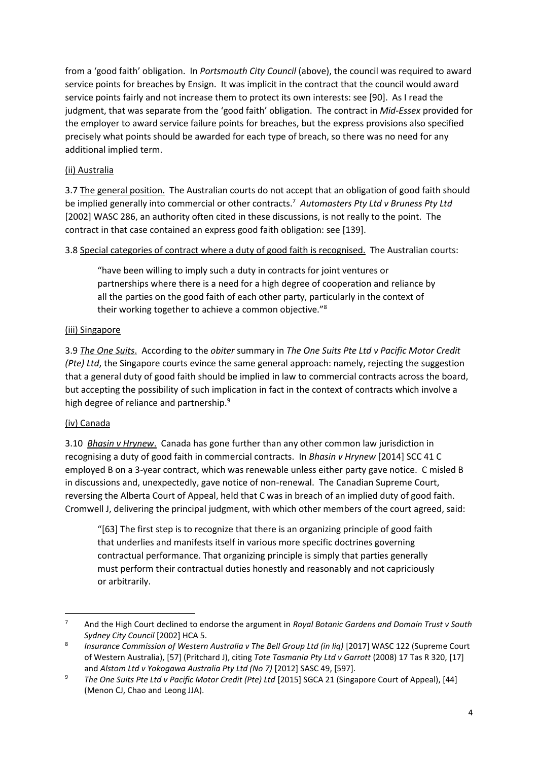from a 'good faith' obligation. In *Portsmouth City Council* (above), the council was required to award service points for breaches by Ensign. It was implicit in the contract that the council would award service points fairly and not increase them to protect its own interests: see [90]. As I read the judgment, that was separate from the 'good faith' obligation. The contract in *Mid-Essex* provided for the employer to award service failure points for breaches, but the express provisions also specified precisely what points should be awarded for each type of breach, so there was no need for any additional implied term.

# (ii) Australia

3.7 The general position. The Australian courts do not accept that an obligation of good faith should be implied generally into commercial or other contracts.<sup>7</sup> Automasters Pty Ltd v Bruness Pty Ltd [2002] WASC 286, an authority often cited in these discussions, is not really to the point. The contract in that case contained an express good faith obligation: see [139].

## 3.8 Special categories of contract where a duty of good faith is recognised. The Australian courts:

"have been willing to imply such a duty in contracts for joint ventures or partnerships where there is a need for a high degree of cooperation and reliance by all the parties on the good faith of each other party, particularly in the context of their working together to achieve a common objective."<sup>8</sup>

## (iii) Singapore

3.9 *The One Suits*. According to the *obiter* summary in *The One Suits Pte Ltd v Pacific Motor Credit (Pte) Ltd*, the Singapore courts evince the same general approach: namely, rejecting the suggestion that a general duty of good faith should be implied in law to commercial contracts across the board, but accepting the possibility of such implication in fact in the context of contracts which involve a high degree of reliance and partnership.<sup>9</sup>

# (iv) Canada

 $\overline{a}$ 

3.10 *Bhasin v Hrynew*. Canada has gone further than any other common law jurisdiction in recognising a duty of good faith in commercial contracts. In *Bhasin v Hrynew* [2014] SCC 41 C employed B on a 3-year contract, which was renewable unless either party gave notice. C misled B in discussions and, unexpectedly, gave notice of non-renewal. The Canadian Supreme Court, reversing the Alberta Court of Appeal, held that C was in breach of an implied duty of good faith. Cromwell J, delivering the principal judgment, with which other members of the court agreed, said:

"[63] The first step is to recognize that there is an organizing principle of good faith that underlies and manifests itself in various more specific doctrines governing contractual performance. That organizing principle is simply that parties generally must perform their contractual duties honestly and reasonably and not capriciously or arbitrarily.

<sup>7</sup> And the High Court declined to endorse the argument in *Royal Botanic Gardens and Domain Trust v South Sydney City Council* [2002] HCA 5.

<sup>8</sup> *Insurance Commission of Western Australia v The Bell Group Ltd (in lig)* [2017] WASC 122 (Supreme Court of Western Australia), [57] (Pritchard J), citing *Tote Tasmania Pty Ltd v Garrott* (2008) 17 Tas R 320, [17] and *Alstom Ltd v Yokogawa Australia Pty Ltd (No 7)* [2012] SASC 49, [597].

<sup>&</sup>lt;sup>9</sup> The One Suits Pte Ltd v Pacific Motor Credit (Pte) Ltd [2015] SGCA 21 (Singapore Court of Appeal), [44] (Menon CJ, Chao and Leong JJA).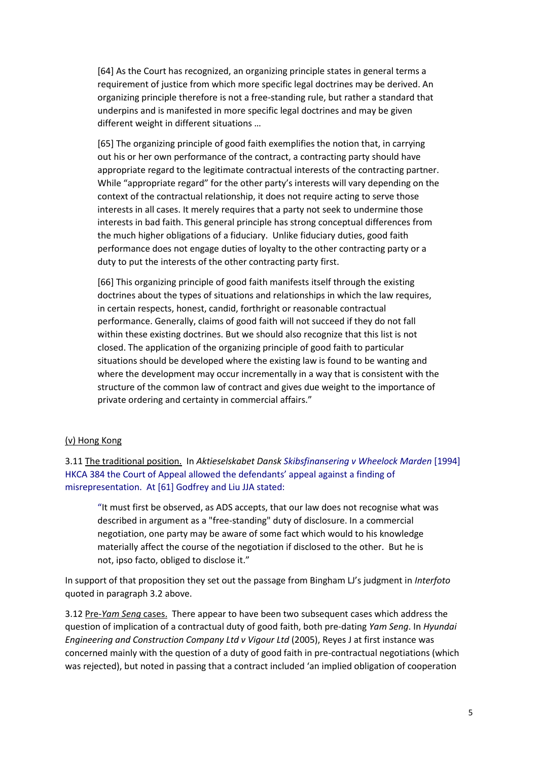[64] As the Court has recognized, an organizing principle states in general terms a requirement of justice from which more specific legal doctrines may be derived. An organizing principle therefore is not a free-standing rule, but rather a standard that underpins and is manifested in more specific legal doctrines and may be given different weight in different situations …

[65] The organizing principle of good faith exemplifies the notion that, in carrying out his or her own performance of the contract, a contracting party should have appropriate regard to the legitimate contractual interests of the contracting partner. While "appropriate regard" for the other party's interests will vary depending on the context of the contractual relationship, it does not require acting to serve those interests in all cases. It merely requires that a party not seek to undermine those interests in bad faith. This general principle has strong conceptual differences from the much higher obligations of a fiduciary. Unlike fiduciary duties, good faith performance does not engage duties of loyalty to the other contracting party or a duty to put the interests of the other contracting party first.

[66] This organizing principle of good faith manifests itself through the existing doctrines about the types of situations and relationships in which the law requires, in certain respects, honest, candid, forthright or reasonable contractual performance. Generally, claims of good faith will not succeed if they do not fall within these existing doctrines. But we should also recognize that this list is not closed. The application of the organizing principle of good faith to particular situations should be developed where the existing law is found to be wanting and where the development may occur incrementally in a way that is consistent with the structure of the common law of contract and gives due weight to the importance of private ordering and certainty in commercial affairs."

#### (v) Hong Kong

3.11 The traditional position. In *Aktieselskabet Dansk Skibsfinansering v Wheelock Marden* [1994] HKCA 384 the Court of Appeal allowed the defendants' appeal against a finding of misrepresentation. At [61] Godfrey and Liu JJA stated:

"It must first be observed, as ADS accepts, that our law does not recognise what was described in argument as a "free-standing" duty of disclosure. In a commercial negotiation, one party may be aware of some fact which would to his knowledge materially affect the course of the negotiation if disclosed to the other. But he is not, ipso facto, obliged to disclose it."

In support of that proposition they set out the passage from Bingham LJ's judgment in *Interfoto* quoted in paragraph 3.2 above.

3.12 Pre-*Yam Seng* cases. There appear to have been two subsequent cases which address the question of implication of a contractual duty of good faith, both pre-dating *Yam Seng*. In *Hyundai Engineering and Construction Company Ltd v Vigour Ltd* (2005), Reyes J at first instance was concerned mainly with the question of a duty of good faith in pre-contractual negotiations (which was rejected), but noted in passing that a contract included 'an implied obligation of cooperation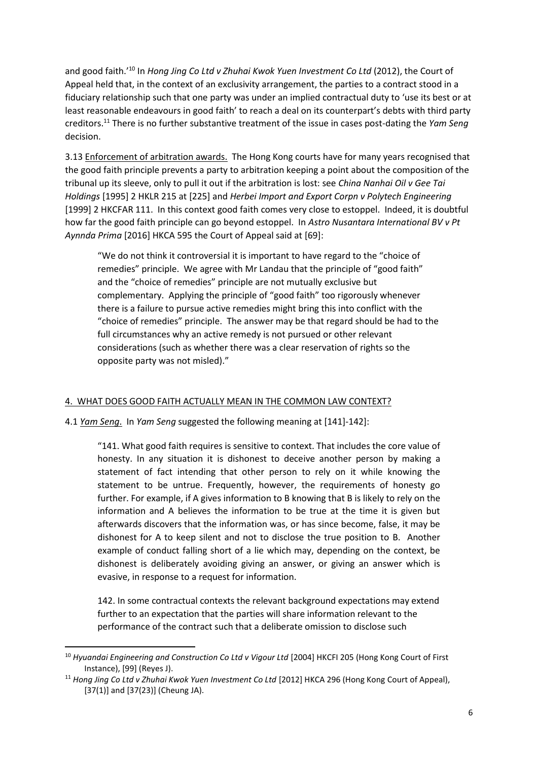and good faith.'<sup>10</sup> In *Hong Jing Co Ltd v Zhuhai Kwok Yuen Investment Co Ltd* (2012), the Court of Appeal held that, in the context of an exclusivity arrangement, the parties to a contract stood in a fiduciary relationship such that one party was under an implied contractual duty to 'use its best or at least reasonable endeavours in good faith' to reach a deal on its counterpart's debts with third party creditors.<sup>11</sup> There is no further substantive treatment of the issue in cases post-dating the *Yam Seng* decision.

3.13 Enforcement of arbitration awards. The Hong Kong courts have for many years recognised that the good faith principle prevents a party to arbitration keeping a point about the composition of the tribunal up its sleeve, only to pull it out if the arbitration is lost: see *China Nanhai Oil v Gee Tai Holdings* [1995] 2 HKLR 215 at [225] and *Herbei Import and Export Corpn v Polytech Engineering* [1999] 2 HKCFAR 111. In this context good faith comes very close to estoppel. Indeed, it is doubtful how far the good faith principle can go beyond estoppel. In *Astro Nusantara International BV v Pt Aynnda Prima* [2016] HKCA 595 the Court of Appeal said at [69]:

"We do not think it controversial it is important to have regard to the "choice of remedies" principle. We agree with Mr Landau that the principle of "good faith" and the "choice of remedies" principle are not mutually exclusive but complementary. Applying the principle of "good faith" too rigorously whenever there is a failure to pursue active remedies might bring this into conflict with the "choice of remedies" principle. The answer may be that regard should be had to the full circumstances why an active remedy is not pursued or other relevant considerations (such as whether there was a clear reservation of rights so the opposite party was not misled)."

## 4. WHAT DOES GOOD FAITH ACTUALLY MEAN IN THE COMMON LAW CONTEXT?

#### 4.1 *Yam Seng*. In *Yam Seng* suggested the following meaning at [141]-142]:

"141. What good faith requires is sensitive to context. That includes the core value of honesty. In any situation it is dishonest to deceive another person by making a statement of fact intending that other person to rely on it while knowing the statement to be untrue. Frequently, however, the requirements of honesty go further. For example, if A gives information to B knowing that B is likely to rely on the information and A believes the information to be true at the time it is given but afterwards discovers that the information was, or has since become, false, it may be dishonest for A to keep silent and not to disclose the true position to B. Another example of conduct falling short of a lie which may, depending on the context, be dishonest is deliberately avoiding giving an answer, or giving an answer which is evasive, in response to a request for information.

142. In some contractual contexts the relevant background expectations may extend further to an expectation that the parties will share information relevant to the performance of the contract such that a deliberate omission to disclose such

**.** 

<sup>&</sup>lt;sup>10</sup> Hyuandai Engineering and Construction Co Ltd v Vigour Ltd [2004] HKCFI 205 (Hong Kong Court of First Instance), [99] (Reyes J).

<sup>&</sup>lt;sup>11</sup> Hong Jing Co Ltd v Zhuhai Kwok Yuen Investment Co Ltd [2012] HKCA 296 (Hong Kong Court of Appeal), [37(1)] and [37(23)] (Cheung JA).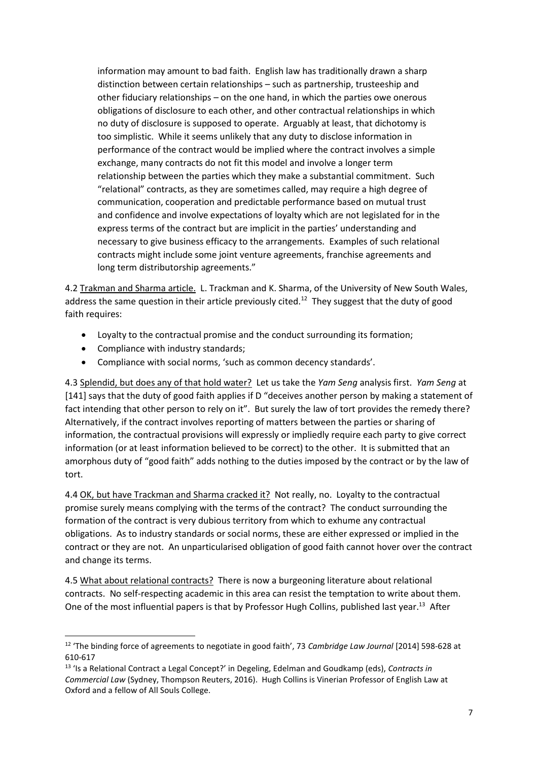information may amount to bad faith. English law has traditionally drawn a sharp distinction between certain relationships – such as partnership, trusteeship and other fiduciary relationships – on the one hand, in which the parties owe onerous obligations of disclosure to each other, and other contractual relationships in which no duty of disclosure is supposed to operate. Arguably at least, that dichotomy is too simplistic. While it seems unlikely that any duty to disclose information in performance of the contract would be implied where the contract involves a simple exchange, many contracts do not fit this model and involve a longer term relationship between the parties which they make a substantial commitment. Such "relational" contracts, as they are sometimes called, may require a high degree of communication, cooperation and predictable performance based on mutual trust and confidence and involve expectations of loyalty which are not legislated for in the express terms of the contract but are implicit in the parties' understanding and necessary to give business efficacy to the arrangements. Examples of such relational contracts might include some joint venture agreements, franchise agreements and long term distributorship agreements."

4.2 Trakman and Sharma article. L. Trackman and K. Sharma, of the University of New South Wales, address the same question in their article previously cited.<sup>12</sup> They suggest that the duty of good faith requires:

- Loyalty to the contractual promise and the conduct surrounding its formation;
- Compliance with industry standards;

 $\overline{a}$ 

• Compliance with social norms, 'such as common decency standards'.

4.3 Splendid, but does any of that hold water? Let us take the *Yam Seng* analysis first. *Yam Seng* at [141] says that the duty of good faith applies if D "deceives another person by making a statement of fact intending that other person to rely on it". But surely the law of tort provides the remedy there? Alternatively, if the contract involves reporting of matters between the parties or sharing of information, the contractual provisions will expressly or impliedly require each party to give correct information (or at least information believed to be correct) to the other. It is submitted that an amorphous duty of "good faith" adds nothing to the duties imposed by the contract or by the law of tort.

4.4 OK, but have Trackman and Sharma cracked it? Not really, no. Loyalty to the contractual promise surely means complying with the terms of the contract? The conduct surrounding the formation of the contract is very dubious territory from which to exhume any contractual obligations. As to industry standards or social norms, these are either expressed or implied in the contract or they are not. An unparticularised obligation of good faith cannot hover over the contract and change its terms.

4.5 What about relational contracts? There is now a burgeoning literature about relational contracts. No self-respecting academic in this area can resist the temptation to write about them. One of the most influential papers is that by Professor Hugh Collins, published last year.<sup>13</sup> After

<sup>12</sup> 'The binding force of agreements to negotiate in good faith', 73 *Cambridge Law Journal* [2014] 598-628 at 610-617

<sup>13</sup> 'Is a Relational Contract a Legal Concept?' in Degeling, Edelman and Goudkamp (eds), *Contracts in Commercial Law* (Sydney, Thompson Reuters, 2016). Hugh Collins is Vinerian Professor of English Law at Oxford and a fellow of All Souls College.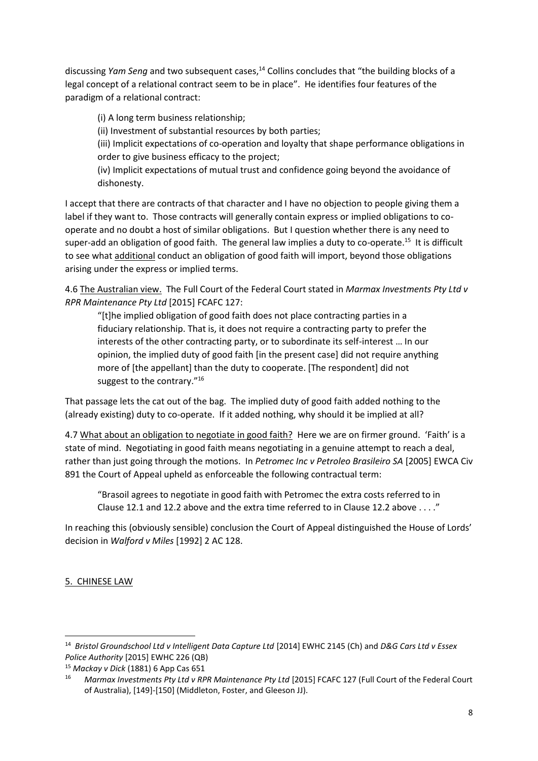discussing *Yam Seng* and two subsequent cases,<sup>14</sup> Collins concludes that "the building blocks of a legal concept of a relational contract seem to be in place". He identifies four features of the paradigm of a relational contract:

(i) A long term business relationship;

(ii) Investment of substantial resources by both parties;

(iii) Implicit expectations of co-operation and loyalty that shape performance obligations in order to give business efficacy to the project;

(iv) Implicit expectations of mutual trust and confidence going beyond the avoidance of dishonesty.

I accept that there are contracts of that character and I have no objection to people giving them a label if they want to. Those contracts will generally contain express or implied obligations to cooperate and no doubt a host of similar obligations. But I question whether there is any need to super-add an obligation of good faith. The general law implies a duty to co-operate.<sup>15</sup> It is difficult to see what additional conduct an obligation of good faith will import, beyond those obligations arising under the express or implied terms.

4.6 The Australian view. The Full Court of the Federal Court stated in *Marmax Investments Pty Ltd v RPR Maintenance Pty Ltd* [2015] FCAFC 127:

"[t]he implied obligation of good faith does not place contracting parties in a fiduciary relationship. That is, it does not require a contracting party to prefer the interests of the other contracting party, or to subordinate its self-interest … In our opinion, the implied duty of good faith [in the present case] did not require anything more of [the appellant] than the duty to cooperate. [The respondent] did not suggest to the contrary."<sup>16</sup>

That passage lets the cat out of the bag. The implied duty of good faith added nothing to the (already existing) duty to co-operate. If it added nothing, why should it be implied at all?

4.7 What about an obligation to negotiate in good faith? Here we are on firmer ground. 'Faith' is a state of mind. Negotiating in good faith means negotiating in a genuine attempt to reach a deal, rather than just going through the motions. In *Petromec Inc v Petroleo Brasileiro SA* [2005] EWCA Civ 891 the Court of Appeal upheld as enforceable the following contractual term:

"Brasoil agrees to negotiate in good faith with Petromec the extra costs referred to in Clause 12.1 and 12.2 above and the extra time referred to in Clause 12.2 above . . . ."

In reaching this (obviously sensible) conclusion the Court of Appeal distinguished the House of Lords' decision in *Walford v Miles* [1992] 2 AC 128.

5. CHINESE LAW

 $\overline{a}$ 

<sup>&</sup>lt;sup>14</sup> Bristol Groundschool Ltd v Intelligent Data Capture Ltd [2014] EWHC 2145 (Ch) and D&G Cars Ltd v Essex *Police Authority* [2015] EWHC 226 (QB)

<sup>15</sup> *Mackay v Dick* (1881) 6 App Cas 651

<sup>16</sup> *Marmax Investments Pty Ltd v RPR Maintenance Pty Ltd* [2015] FCAFC 127 (Full Court of the Federal Court of Australia), [149]-[150] (Middleton, Foster, and Gleeson JJ).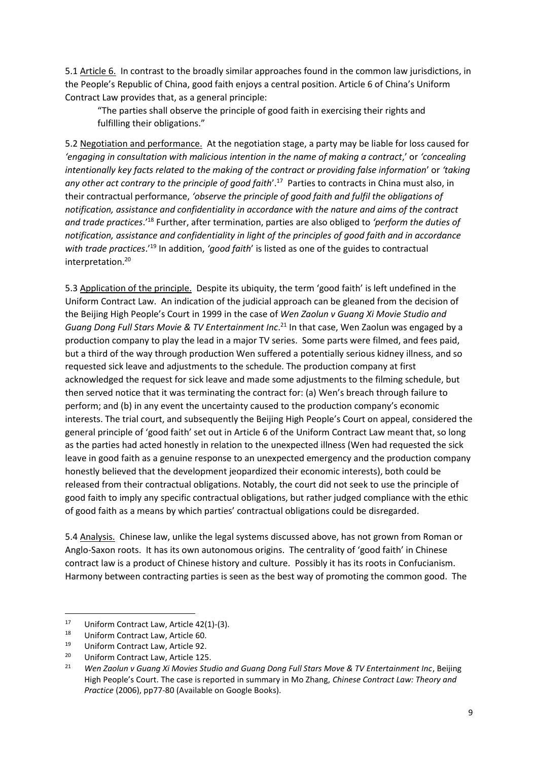5.1 Article 6. In contrast to the broadly similar approaches found in the common law jurisdictions, in the People's Republic of China, good faith enjoys a central position. Article 6 of China's Uniform Contract Law provides that, as a general principle:

"The parties shall observe the principle of good faith in exercising their rights and fulfilling their obligations."

5.2 Negotiation and performance. At the negotiation stage, a party may be liable for loss caused for *'engaging in consultation with malicious intention in the name of making a contract*,' or *'concealing intentionally key facts related to the making of the contract or providing false information*' or *'taking*  any other act contrary to the principle of good faith'.<sup>17</sup> Parties to contracts in China must also, in their contractual performance, *'observe the principle of good faith and fulfil the obligations of notification, assistance and confidentiality in accordance with the nature and aims of the contract and trade practices*.'<sup>18</sup> Further, after termination, parties are also obliged to *'perform the duties of notification, assistance and confidentiality in light of the principles of good faith and in accordance with trade practices*.'<sup>19</sup> In addition, *'good faith*' is listed as one of the guides to contractual interpretation.<sup>20</sup>

5.3 Application of the principle. Despite its ubiquity, the term 'good faith' is left undefined in the Uniform Contract Law. An indication of the judicial approach can be gleaned from the decision of the Beijing High People's Court in 1999 in the case of *Wen Zaolun v Guang Xi Movie Studio and*  Guang Dong Full Stars Movie & TV Entertainment Inc.<sup>21</sup> In that case, Wen Zaolun was engaged by a production company to play the lead in a major TV series. Some parts were filmed, and fees paid, but a third of the way through production Wen suffered a potentially serious kidney illness, and so requested sick leave and adjustments to the schedule. The production company at first acknowledged the request for sick leave and made some adjustments to the filming schedule, but then served notice that it was terminating the contract for: (a) Wen's breach through failure to perform; and (b) in any event the uncertainty caused to the production company's economic interests. The trial court, and subsequently the Beijing High People's Court on appeal, considered the general principle of 'good faith' set out in Article 6 of the Uniform Contract Law meant that, so long as the parties had acted honestly in relation to the unexpected illness (Wen had requested the sick leave in good faith as a genuine response to an unexpected emergency and the production company honestly believed that the development jeopardized their economic interests), both could be released from their contractual obligations. Notably, the court did not seek to use the principle of good faith to imply any specific contractual obligations, but rather judged compliance with the ethic of good faith as a means by which parties' contractual obligations could be disregarded.

5.4 Analysis. Chinese law, unlike the legal systems discussed above, has not grown from Roman or Anglo-Saxon roots. It has its own autonomous origins. The centrality of 'good faith' in Chinese contract law is a product of Chinese history and culture. Possibly it has its roots in Confucianism. Harmony between contracting parties is seen as the best way of promoting the common good. The

 $\overline{a}$ 

<sup>&</sup>lt;sup>17</sup> Uniform Contract Law, Article 42(1)-(3).<br><sup>18</sup> Uniform Contract Law, Article 60.

<sup>&</sup>lt;sup>18</sup> Uniform Contract Law, Article 60.<br><sup>19</sup> Uniform Contract Law, Article 92.

Uniform Contract Law, Article 92.

<sup>&</sup>lt;sup>20</sup> Uniform Contract Law, Article 125.<br><sup>21</sup> Wen Zaolun y Guang Xi Movies Stu

<sup>21</sup> *Wen Zaolun v Guang Xi Movies Studio and Guang Dong Full Stars Move & TV Entertainment Inc*, Beijing High People's Court. The case is reported in summary in Mo Zhang, *Chinese Contract Law: Theory and Practice* (2006), pp77-80 (Available on Google Books).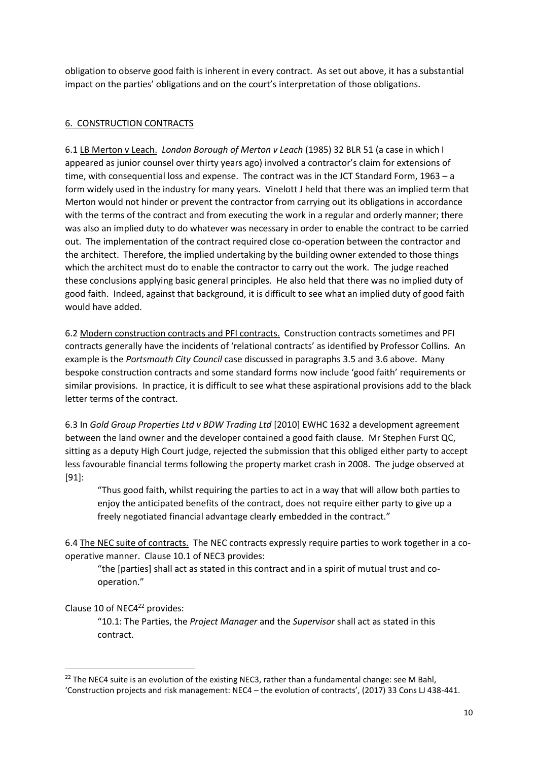obligation to observe good faith is inherent in every contract. As set out above, it has a substantial impact on the parties' obligations and on the court's interpretation of those obligations.

# 6. CONSTRUCTION CONTRACTS

6.1 LB Merton v Leach. *London Borough of Merton v Leach* (1985) 32 BLR 51 (a case in which I appeared as junior counsel over thirty years ago) involved a contractor's claim for extensions of time, with consequential loss and expense. The contract was in the JCT Standard Form, 1963 – a form widely used in the industry for many years. Vinelott J held that there was an implied term that Merton would not hinder or prevent the contractor from carrying out its obligations in accordance with the terms of the contract and from executing the work in a regular and orderly manner; there was also an implied duty to do whatever was necessary in order to enable the contract to be carried out. The implementation of the contract required close co-operation between the contractor and the architect. Therefore, the implied undertaking by the building owner extended to those things which the architect must do to enable the contractor to carry out the work. The judge reached these conclusions applying basic general principles. He also held that there was no implied duty of good faith. Indeed, against that background, it is difficult to see what an implied duty of good faith would have added.

6.2 Modern construction contracts and PFI contracts. Construction contracts sometimes and PFI contracts generally have the incidents of 'relational contracts' as identified by Professor Collins. An example is the *Portsmouth City Council* case discussed in paragraphs 3.5 and 3.6 above. Many bespoke construction contracts and some standard forms now include 'good faith' requirements or similar provisions. In practice, it is difficult to see what these aspirational provisions add to the black letter terms of the contract.

6.3 In *Gold Group Properties Ltd v BDW Trading Ltd* [2010] EWHC 1632 a development agreement between the land owner and the developer contained a good faith clause. Mr Stephen Furst QC, sitting as a deputy High Court judge, rejected the submission that this obliged either party to accept less favourable financial terms following the property market crash in 2008. The judge observed at [91]:

"Thus good faith, whilst requiring the parties to act in a way that will allow both parties to enjoy the anticipated benefits of the contract, does not require either party to give up a freely negotiated financial advantage clearly embedded in the contract."

6.4 The NEC suite of contracts. The NEC contracts expressly require parties to work together in a cooperative manner. Clause 10.1 of NEC3 provides:

"the [parties] shall act as stated in this contract and in a spirit of mutual trust and cooperation."

## Clause 10 of NEC4<sup>22</sup> provides:

**.** 

"10.1: The Parties, the *Project Manager* and the *Supervisor* shall act as stated in this contract.

<sup>&</sup>lt;sup>22</sup> The NEC4 suite is an evolution of the existing NEC3, rather than a fundamental change: see M Bahl, 'Construction projects and risk management: NEC4 – the evolution of contracts', (2017) 33 Cons LJ 438-441.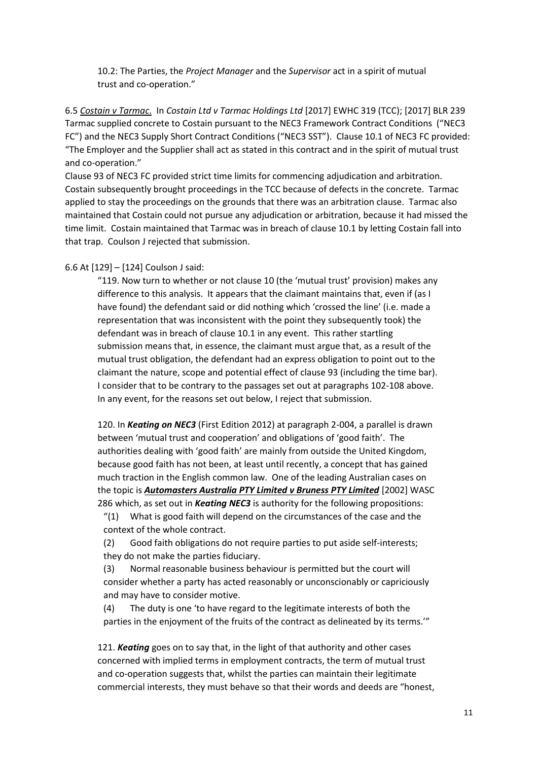10.2: The Parties, the *Project Manager* and the *Supervisor* act in a spirit of mutual trust and co-operation."

6.5 *Costain v Tarmac*. In *Costain Ltd v Tarmac Holdings Ltd* [2017] EWHC 319 (TCC); [2017] BLR 239 Tarmac supplied concrete to Costain pursuant to the NEC3 Framework Contract Conditions ("NEC3 FC") and the NEC3 Supply Short Contract Conditions ("NEC3 SST"). Clause 10.1 of NEC3 FC provided: "The Employer and the Supplier shall act as stated in this contract and in the spirit of mutual trust and co-operation."

Clause 93 of NEC3 FC provided strict time limits for commencing adjudication and arbitration. Costain subsequently brought proceedings in the TCC because of defects in the concrete. Tarmac applied to stay the proceedings on the grounds that there was an arbitration clause. Tarmac also maintained that Costain could not pursue any adjudication or arbitration, because it had missed the time limit. Costain maintained that Tarmac was in breach of clause 10.1 by letting Costain fall into that trap. Coulson J rejected that submission.

### 6.6 At [129] – [124] Coulson J said:

"119. Now turn to whether or not clause 10 (the 'mutual trust' provision) makes any difference to this analysis. It appears that the claimant maintains that, even if (as I have found) the defendant said or did nothing which 'crossed the line' (i.e. made a representation that was inconsistent with the point they subsequently took) the defendant was in breach of clause 10.1 in any event. This rather startling submission means that, in essence, the claimant must argue that, as a result of the mutual trust obligation, the defendant had an express obligation to point out to the claimant the nature, scope and potential effect of clause 93 (including the time bar). I consider that to be contrary to the passages set out at paragraphs 102-108 above. In any event, for the reasons set out below, I reject that submission.

120. In *Keating on NEC3* (First Edition 2012) at paragraph 2-004, a parallel is drawn between 'mutual trust and cooperation' and obligations of 'good faith'. The authorities dealing with 'good faith' are mainly from outside the United Kingdom, because good faith has not been, at least until recently, a concept that has gained much traction in the English common law. One of the leading Australian cases on the topic is *Automasters Australia PTY Limited v Bruness PTY Limited* [2002] WASC 286 which, as set out in *Keating NEC3* is authority for the following propositions:

 $''(1)$  What is good faith will depend on the circumstances of the case and the context of the whole contract.

(2) Good faith obligations do not require parties to put aside self-interests; they do not make the parties fiduciary.

(3) Normal reasonable business behaviour is permitted but the court will consider whether a party has acted reasonably or unconscionably or capriciously and may have to consider motive.

(4) The duty is one 'to have regard to the legitimate interests of both the parties in the enjoyment of the fruits of the contract as delineated by its terms.'"

121. *Keating* goes on to say that, in the light of that authority and other cases concerned with implied terms in employment contracts, the term of mutual trust and co-operation suggests that, whilst the parties can maintain their legitimate commercial interests, they must behave so that their words and deeds are "honest,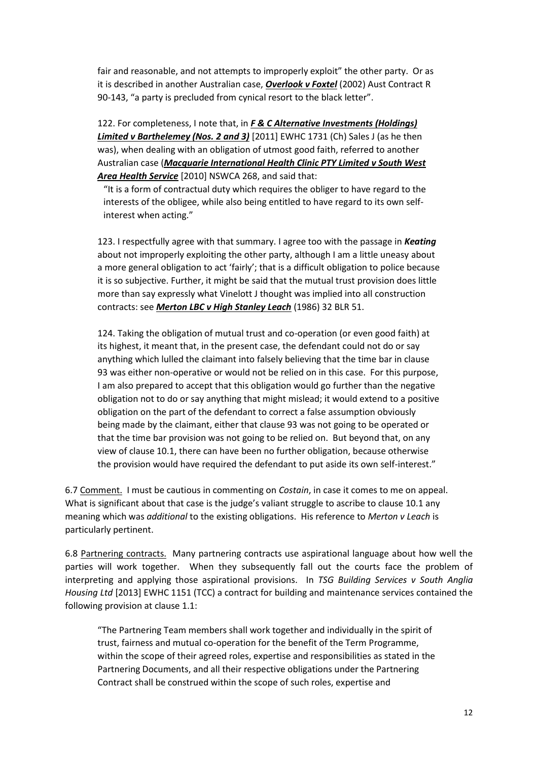fair and reasonable, and not attempts to improperly exploit" the other party. Or as it is described in another Australian case, *Overlook v Foxtel* (2002) Aust Contract R 90-143, "a party is precluded from cynical resort to the black letter".

122. For completeness, I note that, in *F & C Alternative Investments (Holdings) Limited v Barthelemey (Nos. 2 and 3)* [2011] EWHC 1731 (Ch) Sales J (as he then was), when dealing with an obligation of utmost good faith, referred to another Australian case (*Macquarie International Health Clinic PTY Limited v South West Area Health Service* [2010] NSWCA 268, and said that:

"It is a form of contractual duty which requires the obliger to have regard to the interests of the obligee, while also being entitled to have regard to its own selfinterest when acting."

123. I respectfully agree with that summary. I agree too with the passage in *Keating* about not improperly exploiting the other party, although I am a little uneasy about a more general obligation to act 'fairly'; that is a difficult obligation to police because it is so subjective. Further, it might be said that the mutual trust provision does little more than say expressly what Vinelott J thought was implied into all construction contracts: see *Merton LBC v High Stanley Leach* (1986) 32 BLR 51.

124. Taking the obligation of mutual trust and co-operation (or even good faith) at its highest, it meant that, in the present case, the defendant could not do or say anything which lulled the claimant into falsely believing that the time bar in clause 93 was either non-operative or would not be relied on in this case. For this purpose, I am also prepared to accept that this obligation would go further than the negative obligation not to do or say anything that might mislead; it would extend to a positive obligation on the part of the defendant to correct a false assumption obviously being made by the claimant, either that clause 93 was not going to be operated or that the time bar provision was not going to be relied on. But beyond that, on any view of clause 10.1, there can have been no further obligation, because otherwise the provision would have required the defendant to put aside its own self-interest."

6.7 Comment. I must be cautious in commenting on *Costain*, in case it comes to me on appeal. What is significant about that case is the judge's valiant struggle to ascribe to clause 10.1 any meaning which was *additional* to the existing obligations. His reference to *Merton v Leach* is particularly pertinent.

6.8 Partnering contracts. Many partnering contracts use aspirational language about how well the parties will work together. When they subsequently fall out the courts face the problem of interpreting and applying those aspirational provisions. In *TSG Building Services v South Anglia Housing Ltd* [2013] EWHC 1151 (TCC) a contract for building and maintenance services contained the following provision at clause 1.1:

"The Partnering Team members shall work together and individually in the spirit of trust, fairness and mutual co-operation for the benefit of the Term Programme, within the scope of their agreed roles, expertise and responsibilities as stated in the Partnering Documents, and all their respective obligations under the Partnering Contract shall be construed within the scope of such roles, expertise and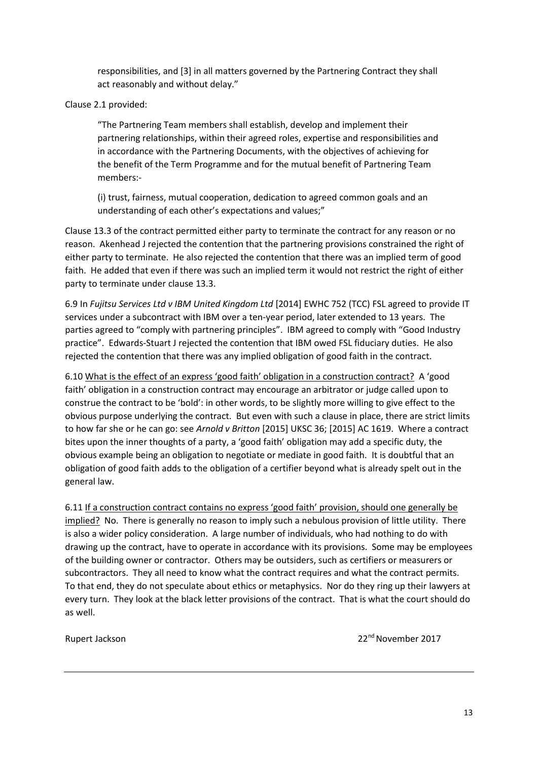responsibilities, and [3] in all matters governed by the Partnering Contract they shall act reasonably and without delay."

Clause 2.1 provided:

"The Partnering Team members shall establish, develop and implement their partnering relationships, within their agreed roles, expertise and responsibilities and in accordance with the Partnering Documents, with the objectives of achieving for the benefit of the Term Programme and for the mutual benefit of Partnering Team members:-

(i) trust, fairness, mutual cooperation, dedication to agreed common goals and an understanding of each other's expectations and values;"

Clause 13.3 of the contract permitted either party to terminate the contract for any reason or no reason. Akenhead J rejected the contention that the partnering provisions constrained the right of either party to terminate. He also rejected the contention that there was an implied term of good faith. He added that even if there was such an implied term it would not restrict the right of either party to terminate under clause 13.3.

6.9 In *Fujitsu Services Ltd v IBM United Kingdom Ltd* [2014] EWHC 752 (TCC) FSL agreed to provide IT services under a subcontract with IBM over a ten-year period, later extended to 13 years. The parties agreed to "comply with partnering principles". IBM agreed to comply with "Good Industry practice". Edwards-Stuart J rejected the contention that IBM owed FSL fiduciary duties. He also rejected the contention that there was any implied obligation of good faith in the contract.

6.10 What is the effect of an express 'good faith' obligation in a construction contract? A 'good faith' obligation in a construction contract may encourage an arbitrator or judge called upon to construe the contract to be 'bold': in other words, to be slightly more willing to give effect to the obvious purpose underlying the contract. But even with such a clause in place, there are strict limits to how far she or he can go: see *Arnold v Britton* [2015] UKSC 36; [2015] AC 1619. Where a contract bites upon the inner thoughts of a party, a 'good faith' obligation may add a specific duty, the obvious example being an obligation to negotiate or mediate in good faith. It is doubtful that an obligation of good faith adds to the obligation of a certifier beyond what is already spelt out in the general law.

6.11 If a construction contract contains no express 'good faith' provision, should one generally be implied? No. There is generally no reason to imply such a nebulous provision of little utility. There is also a wider policy consideration. A large number of individuals, who had nothing to do with drawing up the contract, have to operate in accordance with its provisions. Some may be employees of the building owner or contractor. Others may be outsiders, such as certifiers or measurers or subcontractors. They all need to know what the contract requires and what the contract permits. To that end, they do not speculate about ethics or metaphysics. Nor do they ring up their lawyers at every turn. They look at the black letter provisions of the contract. That is what the court should do as well.

Rupert Jackson 22nd November 2017